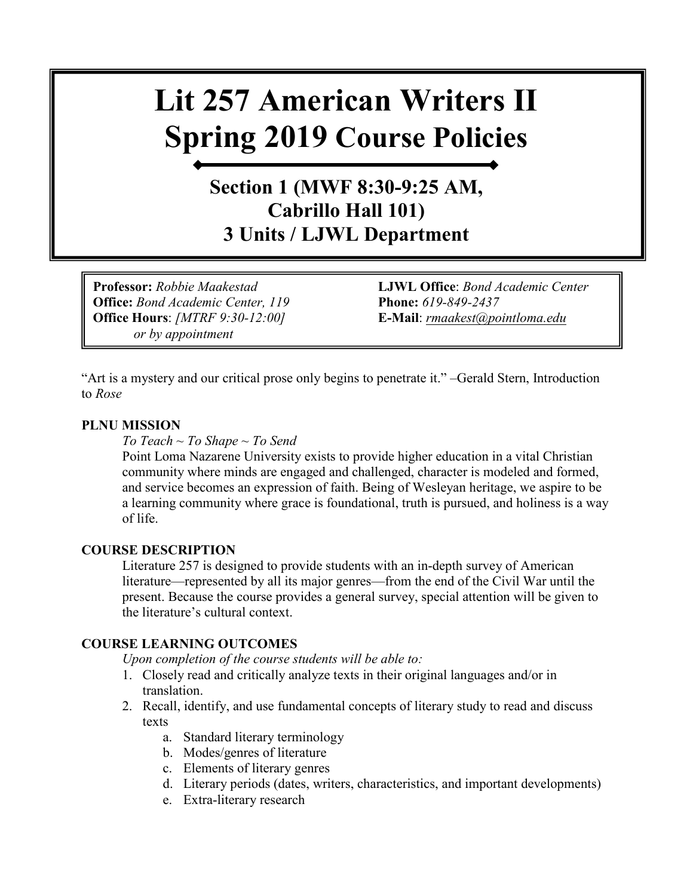# **Lit 257 American Writers II Spring 2019 Course Policies**

### **Section 1 (MWF 8:30-9:25 AM, Cabrillo Hall 101) 3 Units / LJWL Department**

**Office:** *Bond Academic Center, 119* **Phone:** *619-849-2437* **Office Hours**: *[MTRF 9:30-12:00]* **E-Mail**: *[rmaakest@pointloma.edu](mailto:rmaakest@pointloma.edu)  or by appointment*

**Professor:** *Robbie Maakestad* **LJWL Office**: *Bond Academic Center* 

"Art is a mystery and our critical prose only begins to penetrate it." –Gerald Stern, Introduction to *Rose*

#### **PLNU MISSION**

*To Teach ~ To Shape ~ To Send* 

Point Loma Nazarene University exists to provide higher education in a vital Christian community where minds are engaged and challenged, character is modeled and formed, and service becomes an expression of faith. Being of Wesleyan heritage, we aspire to be a learning community where grace is foundational, truth is pursued, and holiness is a way of life.

#### **COURSE DESCRIPTION**

Literature 257 is designed to provide students with an in-depth survey of American literature—represented by all its major genres—from the end of the Civil War until the present. Because the course provides a general survey, special attention will be given to the literature's cultural context.

#### **COURSE LEARNING OUTCOMES**

*Upon completion of the course students will be able to:*

- 1. Closely read and critically analyze texts in their original languages and/or in translation.
- 2. Recall, identify, and use fundamental concepts of literary study to read and discuss texts
	- a. Standard literary terminology
	- b. Modes/genres of literature
	- c. Elements of literary genres
	- d. Literary periods (dates, writers, characteristics, and important developments)
	- e. Extra-literary research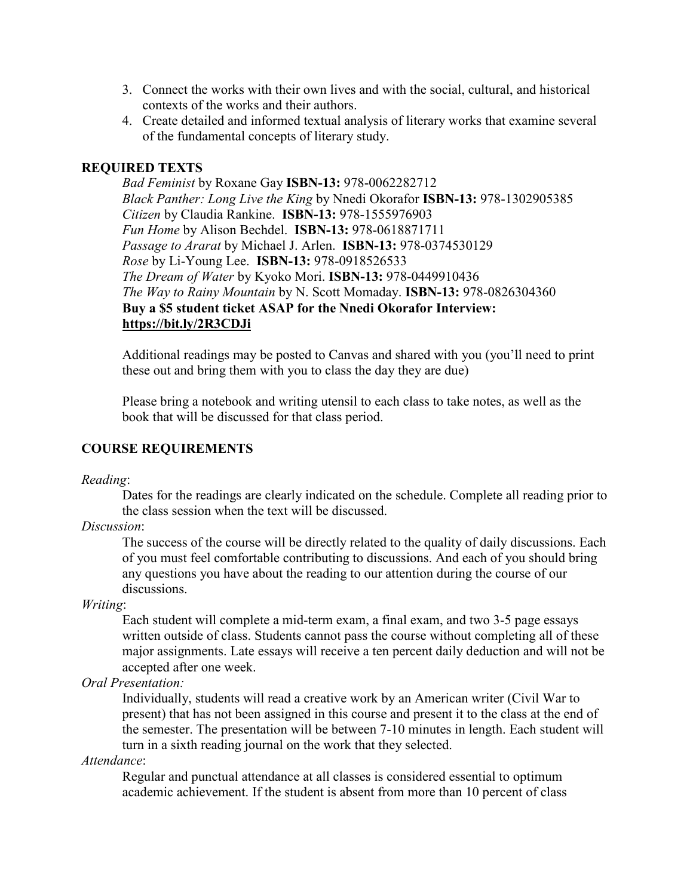- 3. Connect the works with their own lives and with the social, cultural, and historical contexts of the works and their authors.
- 4. Create detailed and informed textual analysis of literary works that examine several of the fundamental concepts of literary study.

#### **REQUIRED TEXTS**

*Bad Feminist* by Roxane Gay **ISBN-13:** 978-0062282712 *Black Panther: Long Live the King* by Nnedi Okorafor **ISBN-13:** 978-1302905385 *Citizen* by Claudia Rankine. **ISBN-13:** 978-1555976903 *Fun Home* by Alison Bechdel. **ISBN-13:** 978-0618871711 *Passage to Ararat* by Michael J. Arlen. **ISBN-13:** 978-0374530129 *Rose* by Li-Young Lee. **ISBN-13:** 978-0918526533 *The Dream of Water* by Kyoko Mori. **ISBN-13:** 978-0449910436 *The Way to Rainy Mountain* by N. Scott Momaday. **ISBN-13:** 978-0826304360 **Buy a \$5 student ticket ASAP for the Nnedi Okorafor Interview: <https://bit.ly/2R3CDJi>**

Additional readings may be posted to Canvas and shared with you (you'll need to print these out and bring them with you to class the day they are due)

Please bring a notebook and writing utensil to each class to take notes, as well as the book that will be discussed for that class period.

#### **COURSE REQUIREMENTS**

*Reading*:

Dates for the readings are clearly indicated on the schedule. Complete all reading prior to the class session when the text will be discussed.

*Discussion*:

The success of the course will be directly related to the quality of daily discussions. Each of you must feel comfortable contributing to discussions. And each of you should bring any questions you have about the reading to our attention during the course of our discussions.

*Writing*:

Each student will complete a mid-term exam, a final exam, and two 3-5 page essays written outside of class. Students cannot pass the course without completing all of these major assignments. Late essays will receive a ten percent daily deduction and will not be accepted after one week.

*Oral Presentation:*

Individually, students will read a creative work by an American writer (Civil War to present) that has not been assigned in this course and present it to the class at the end of the semester. The presentation will be between 7-10 minutes in length. Each student will turn in a sixth reading journal on the work that they selected.

*Attendance*:

Regular and punctual attendance at all classes is considered essential to optimum academic achievement. If the student is absent from more than 10 percent of class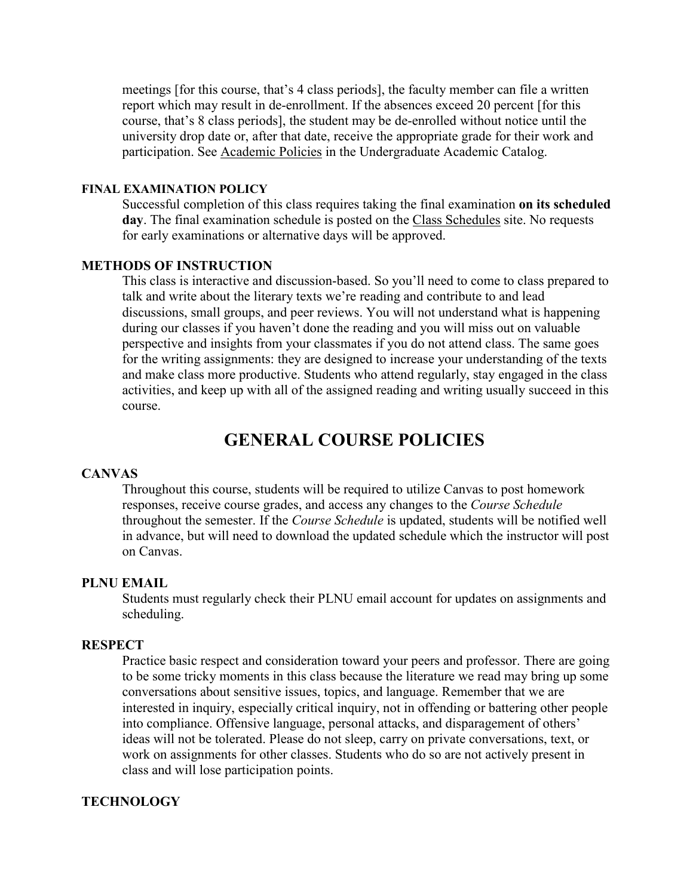meetings [for this course, that's 4 class periods], the faculty member can file a written report which may result in de-enrollment. If the absences exceed 20 percent [for this course, that's 8 class periods], the student may be de-enrolled without notice until the university drop date or, after that date, receive the appropriate grade for their work and participation. See [Academic Policies](http://catalog.pointloma.edu/content.php?catoid=18&navoid=1278) in the Undergraduate Academic Catalog.

#### **FINAL EXAMINATION POLICY**

Successful completion of this class requires taking the final examination **on its scheduled day**. The final examination schedule is posted on the [Class Schedules](http://www.pointloma.edu/experience/academics/class-schedules) site. No requests for early examinations or alternative days will be approved.

#### **METHODS OF INSTRUCTION**

This class is interactive and discussion-based. So you'll need to come to class prepared to talk and write about the literary texts we're reading and contribute to and lead discussions, small groups, and peer reviews. You will not understand what is happening during our classes if you haven't done the reading and you will miss out on valuable perspective and insights from your classmates if you do not attend class. The same goes for the writing assignments: they are designed to increase your understanding of the texts and make class more productive. Students who attend regularly, stay engaged in the class activities, and keep up with all of the assigned reading and writing usually succeed in this course.

#### **GENERAL COURSE POLICIES**

#### **CANVAS**

Throughout this course, students will be required to utilize Canvas to post homework responses, receive course grades, and access any changes to the *Course Schedule* throughout the semester. If the *Course Schedule* is updated, students will be notified well in advance, but will need to download the updated schedule which the instructor will post on Canvas.

#### **PLNU EMAIL**

Students must regularly check their PLNU email account for updates on assignments and scheduling.

#### **RESPECT**

Practice basic respect and consideration toward your peers and professor. There are going to be some tricky moments in this class because the literature we read may bring up some conversations about sensitive issues, topics, and language. Remember that we are interested in inquiry, especially critical inquiry, not in offending or battering other people into compliance. Offensive language, personal attacks, and disparagement of others' ideas will not be tolerated. Please do not sleep, carry on private conversations, text, or work on assignments for other classes. Students who do so are not actively present in class and will lose participation points.

#### **TECHNOLOGY**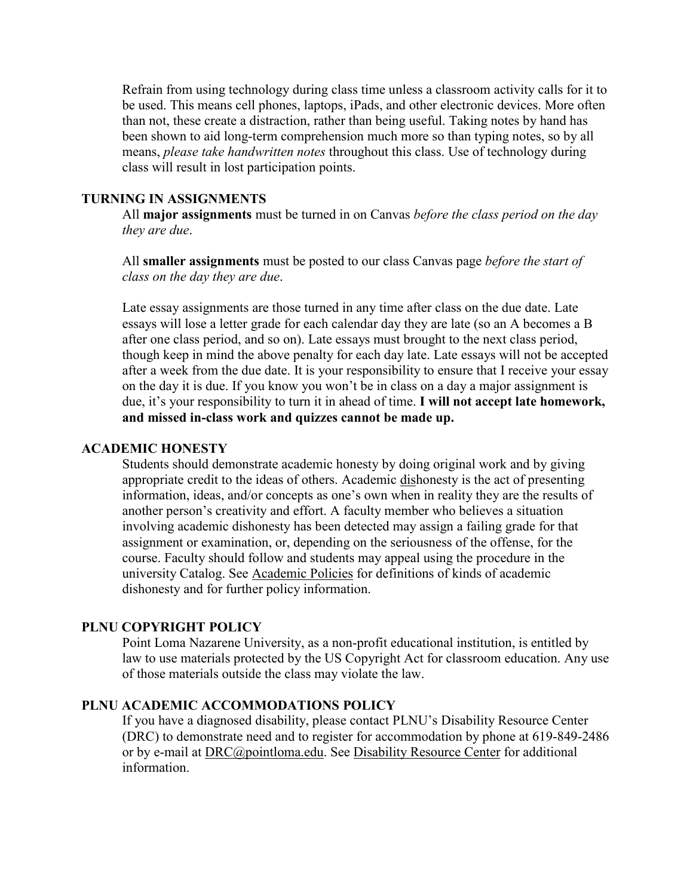Refrain from using technology during class time unless a classroom activity calls for it to be used. This means cell phones, laptops, iPads, and other electronic devices. More often than not, these create a distraction, rather than being useful. Taking notes by hand has been shown to aid long-term comprehension much more so than typing notes, so by all means, *please take handwritten notes* throughout this class. Use of technology during class will result in lost participation points.

#### **TURNING IN ASSIGNMENTS**

All **major assignments** must be turned in on Canvas *before the class period on the day they are due*.

All **smaller assignments** must be posted to our class Canvas page *before the start of class on the day they are due*.

Late essay assignments are those turned in any time after class on the due date. Late essays will lose a letter grade for each calendar day they are late (so an A becomes a B after one class period, and so on). Late essays must brought to the next class period, though keep in mind the above penalty for each day late. Late essays will not be accepted after a week from the due date. It is your responsibility to ensure that I receive your essay on the day it is due. If you know you won't be in class on a day a major assignment is due, it's your responsibility to turn it in ahead of time. **I will not accept late homework, and missed in-class work and quizzes cannot be made up.**

#### **ACADEMIC HONESTY**

Students should demonstrate academic honesty by doing original work and by giving appropriate credit to the ideas of others. Academic dishonesty is the act of presenting information, ideas, and/or concepts as one's own when in reality they are the results of another person's creativity and effort. A faculty member who believes a situation involving academic dishonesty has been detected may assign a failing grade for that assignment or examination, or, depending on the seriousness of the offense, for the course. Faculty should follow and students may appeal using the procedure in the university Catalog. See [Academic Policies](http://catalog.pointloma.edu/content.php?catoid=18&navoid=1278) for definitions of kinds of academic dishonesty and for further policy information.

#### **PLNU COPYRIGHT POLICY**

Point Loma Nazarene University, as a non-profit educational institution, is entitled by law to use materials protected by the US Copyright Act for classroom education. Any use of those materials outside the class may violate the law.

#### **PLNU ACADEMIC ACCOMMODATIONS POLICY**

If you have a diagnosed disability, please contact PLNU's Disability Resource Center (DRC) to demonstrate need and to register for accommodation by phone at 619-849-2486 or by e-mail at [DRC@pointloma.edu.](mailto:DRC@pointloma.edu) See [Disability Resource Center](http://www.pointloma.edu/experience/offices/administrative-offices/academic-advising-office/disability-resource-center) for additional information.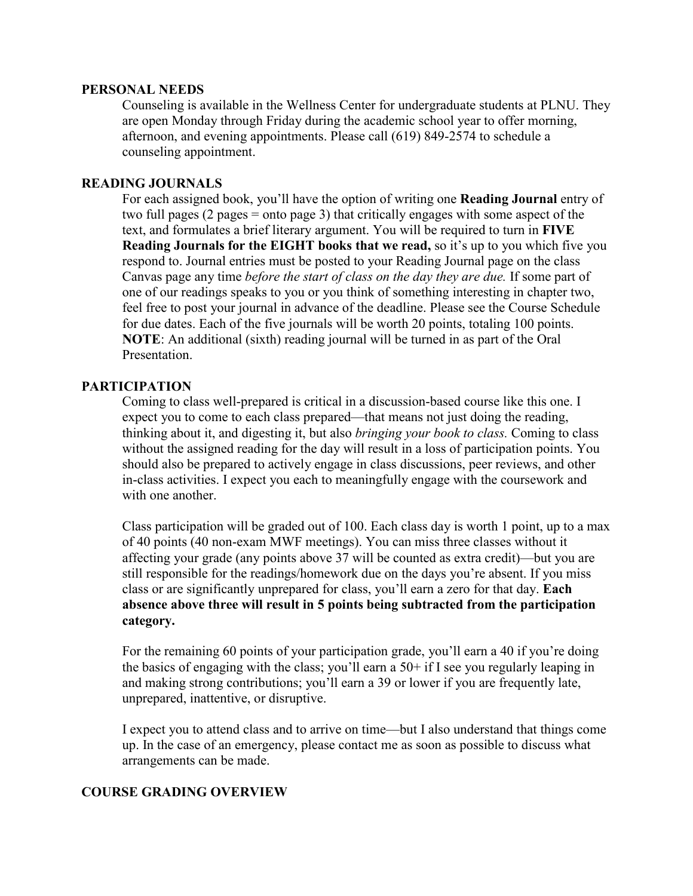#### **PERSONAL NEEDS**

Counseling is available in the Wellness Center for undergraduate students at PLNU. They are open Monday through Friday during the academic school year to offer morning, afternoon, and evening appointments. Please call (619) 849-2574 to schedule a counseling appointment.

#### **READING JOURNALS**

For each assigned book, you'll have the option of writing one **Reading Journal** entry of two full pages (2 pages = onto page 3) that critically engages with some aspect of the text, and formulates a brief literary argument. You will be required to turn in **FIVE Reading Journals for the EIGHT books that we read,** so it's up to you which five you respond to. Journal entries must be posted to your Reading Journal page on the class Canvas page any time *before the start of class on the day they are due.* If some part of one of our readings speaks to you or you think of something interesting in chapter two, feel free to post your journal in advance of the deadline. Please see the Course Schedule for due dates. Each of the five journals will be worth 20 points, totaling 100 points. **NOTE**: An additional (sixth) reading journal will be turned in as part of the Oral Presentation.

#### **PARTICIPATION**

Coming to class well-prepared is critical in a discussion-based course like this one. I expect you to come to each class prepared—that means not just doing the reading, thinking about it, and digesting it, but also *bringing your book to class.* Coming to class without the assigned reading for the day will result in a loss of participation points. You should also be prepared to actively engage in class discussions, peer reviews, and other in-class activities. I expect you each to meaningfully engage with the coursework and with one another.

Class participation will be graded out of 100. Each class day is worth 1 point, up to a max of 40 points (40 non-exam MWF meetings). You can miss three classes without it affecting your grade (any points above 37 will be counted as extra credit)—but you are still responsible for the readings/homework due on the days you're absent. If you miss class or are significantly unprepared for class, you'll earn a zero for that day. **Each absence above three will result in 5 points being subtracted from the participation category.** 

For the remaining 60 points of your participation grade, you'll earn a 40 if you're doing the basics of engaging with the class; you'll earn a  $50+$  if I see you regularly leaping in and making strong contributions; you'll earn a 39 or lower if you are frequently late, unprepared, inattentive, or disruptive.

I expect you to attend class and to arrive on time—but I also understand that things come up. In the case of an emergency, please contact me as soon as possible to discuss what arrangements can be made.

#### **COURSE GRADING OVERVIEW**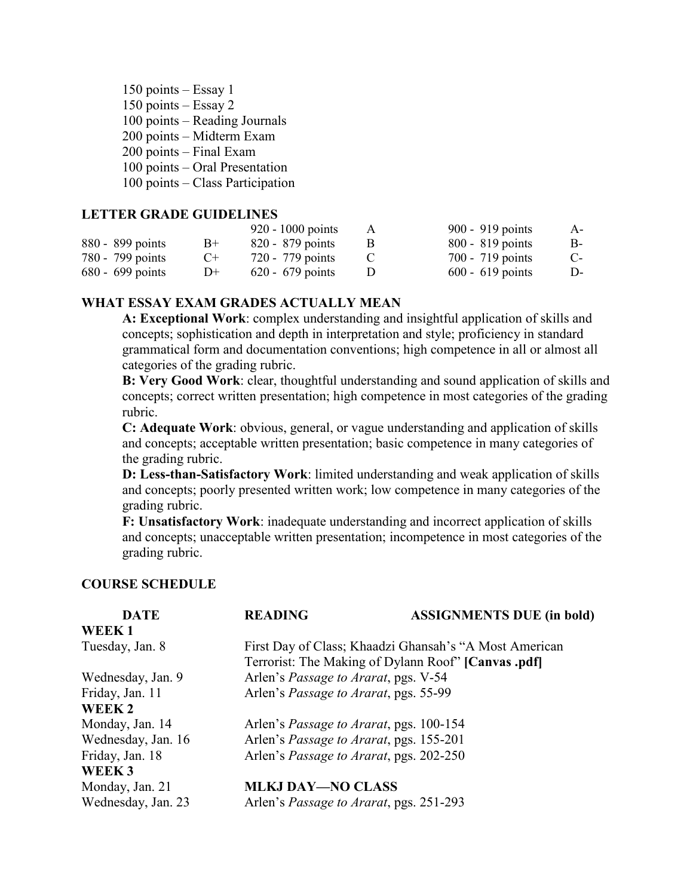| 150 points - Essay 1             |
|----------------------------------|
| 150 points $-$ Essay 2           |
| $100$ points – Reading Journals  |
| 200 points - Midterm Exam        |
| 200 points - Final Exam          |
| $100$ points – Oral Presentation |
| 100 points – Class Participation |
|                                  |

#### **LETTER GRADE GUIDELINES**

|                  |      | $920 - 1000$ points | A | 900 - 919 points   | $A -$ |
|------------------|------|---------------------|---|--------------------|-------|
| 880 - 899 points | $B+$ | 820 - 879 points    |   | 800 - 819 points   | B-    |
| 780 - 799 points | $C+$ | 720 - 779 points    |   | 700 - 719 points   | $C-$  |
| 680 - 699 points | $D+$ | $620 - 679$ points  |   | $600 - 619$ points | D-    |

#### **WHAT ESSAY EXAM GRADES ACTUALLY MEAN**

**A: Exceptional Work**: complex understanding and insightful application of skills and concepts; sophistication and depth in interpretation and style; proficiency in standard grammatical form and documentation conventions; high competence in all or almost all categories of the grading rubric.

**B: Very Good Work**: clear, thoughtful understanding and sound application of skills and concepts; correct written presentation; high competence in most categories of the grading rubric.

**C: Adequate Work**: obvious, general, or vague understanding and application of skills and concepts; acceptable written presentation; basic competence in many categories of the grading rubric.

**D: Less-than-Satisfactory Work**: limited understanding and weak application of skills and concepts; poorly presented written work; low competence in many categories of the grading rubric.

**F: Unsatisfactory Work**: inadequate understanding and incorrect application of skills and concepts; unacceptable written presentation; incompetence in most categories of the grading rubric.

#### **COURSE SCHEDULE**

| <b>DATE</b>        | <b>READING</b>                                         | <b>ASSIGNMENTS DUE (in bold)</b> |  |  |
|--------------------|--------------------------------------------------------|----------------------------------|--|--|
| WEEK1              |                                                        |                                  |  |  |
| Tuesday, Jan. 8    | First Day of Class; Khaadzi Ghansah's "A Most American |                                  |  |  |
|                    | Terrorist: The Making of Dylann Roof" [Canvas .pdf]    |                                  |  |  |
| Wednesday, Jan. 9  | Arlen's Passage to Ararat, pgs. V-54                   |                                  |  |  |
| Friday, Jan. 11    | Arlen's Passage to Ararat, pgs. 55-99                  |                                  |  |  |
| WEEK 2             |                                                        |                                  |  |  |
| Monday, Jan. 14    | Arlen's <i>Passage to Ararat</i> , pgs. 100-154        |                                  |  |  |
| Wednesday, Jan. 16 | Arlen's <i>Passage to Ararat</i> , pgs. 155-201        |                                  |  |  |
| Friday, Jan. 18    | Arlen's Passage to Ararat, pgs. 202-250                |                                  |  |  |
| WEEK <sub>3</sub>  |                                                        |                                  |  |  |
| Monday, Jan. 21    | <b>MLKJ DAY-NO CLASS</b>                               |                                  |  |  |
| Wednesday, Jan. 23 | Arlen's <i>Passage to Ararat</i> , pgs. 251-293        |                                  |  |  |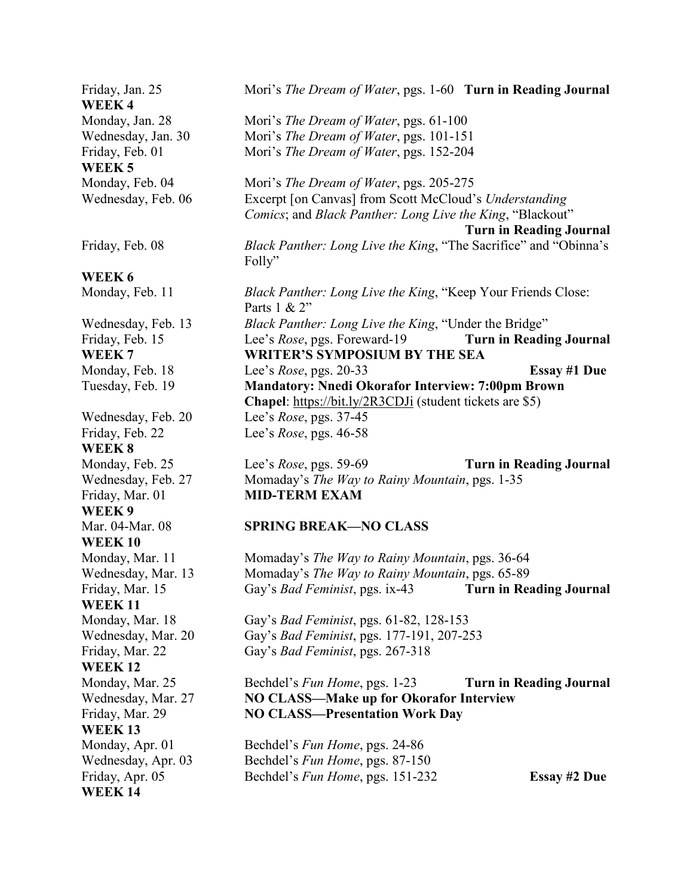#### Friday, Jan. 25 Mori's *The Dream of Water*, pgs. 1-60 **Turn in Reading Journal WEEK 4** Monday, Jan. 28 Mori's *The Dream of Water*, pgs. 61-100 Wednesday, Jan. 30 Mori's *The Dream of Water*, pgs. 101-151 Friday, Feb. 01 Mori's *The Dream of Water*, pgs. 152-204 **WEEK 5** Monday, Feb. 04 Mori's *The Dream of Water*, pgs. 205-275 Wednesday, Feb. 06 Excerpt [on Canvas] from Scott McCloud's *Understanding Comics*; and *Black Panther: Long Live the King*, "Blackout" **Turn in Reading Journal** Friday, Feb. 08 *Black Panther: Long Live the King*, "The Sacrifice" and "Obinna's Folly" **WEEK 6** Monday, Feb. 11 *Black Panther: Long Live the King*, "Keep Your Friends Close: Parts 1 & 2" Wednesday, Feb. 13 *Black Panther: Long Live the King*, "Under the Bridge" Friday, Feb. 15 Lee's *Rose*, pgs. Foreward-19 **Turn in Reading Journal WEEK 7 WRITER'S SYMPOSIUM BY THE SEA** Monday, Feb. 18 Lee's *Rose*, pgs. 20-33 **Essay #1 Due** Tuesday, Feb. 19 **Mandatory: Nnedi Okorafor Interview: 7:00pm Brown Chapel**:<https://bit.ly/2R3CDJi> (student tickets are \$5) Wednesday, Feb. 20 Lee's *Rose*, pgs. 37-45 Friday, Feb. 22 Lee's *Rose*, pgs. 46-58 **WEEK 8**  Monday, Feb. 25 Lee's *Rose*, pgs. 59-69 **Turn in Reading Journal** Wednesday, Feb. 27 Momaday's *The Way to Rainy Mountain*, pgs. 1-35 Friday, Mar. 01 **MID-TERM EXAM WEEK 9** Mar. 04-Mar. 08 **SPRING BREAK—NO CLASS WEEK 10** Monday, Mar. 11 Momaday's *The Way to Rainy Mountain*, pgs. 36-64 Wednesday, Mar. 13 Momaday's *The Way to Rainy Mountain*, pgs. 65-89 Friday, Mar. 15 Gay's *Bad Feminist*, pgs. ix-43 **Turn in Reading Journal WEEK 11** Monday, Mar. 18 Gay's *Bad Feminist*, pgs. 61-82, 128-153 Wednesday, Mar. 20 Gay's *Bad Feminist*, pgs. 177-191, 207-253 Friday, Mar. 22 Gay's *Bad Feminist*, pgs. 267-318 **WEEK 12** Monday, Mar. 25 Bechdel's *Fun Home*, pgs. 1-23 **Turn in Reading Journal** Wednesday, Mar. 27 **NO CLASS—Make up for Okorafor Interview** Friday, Mar. 29 **NO CLASS—Presentation Work Day WEEK 13** Monday, Apr. 01 Bechdel's *Fun Home*, pgs. 24-86 Wednesday, Apr. 03 Bechdel's *Fun Home*, pgs. 87-150 Friday, Apr. 05 Bechdel's *Fun Home*, pgs. 151-232 **Essay #2 Due**

**WEEK 14**